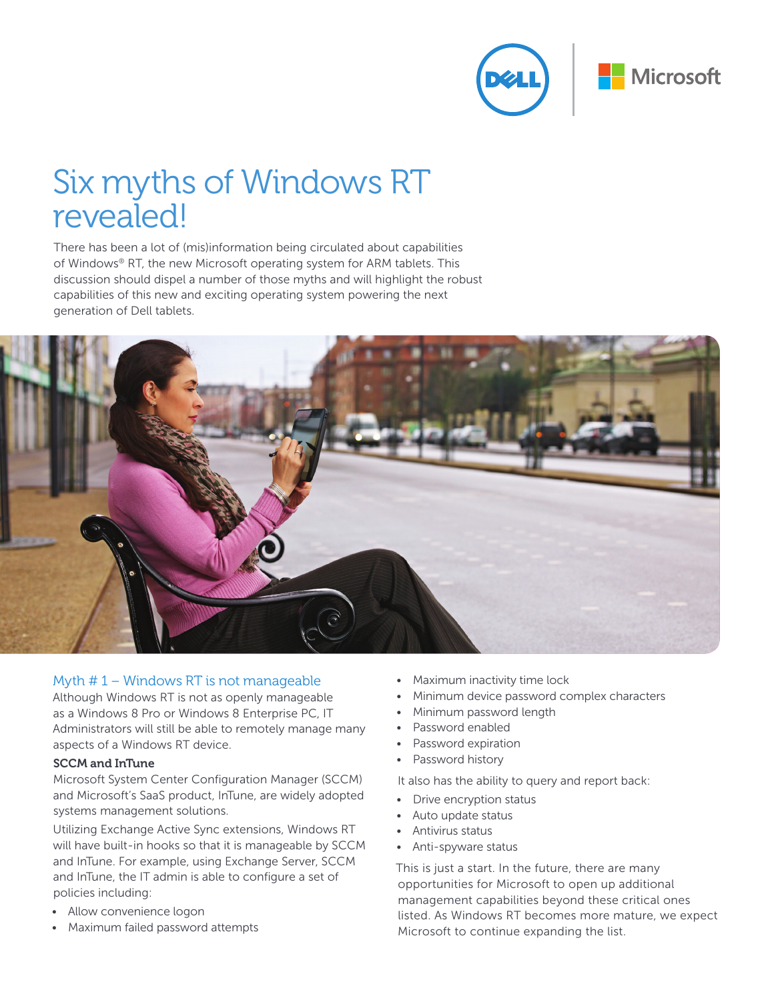

# Six myths of Windows RT revealed!

There has been a lot of (mis)information being circulated about capabilities of Windows® RT, the new Microsoft operating system for ARM tablets. This discussion should dispel a number of those myths and will highlight the robust capabilities of this new and exciting operating system powering the next generation of Dell tablets.



# Myth # 1 – Windows RT is not manageable

Although Windows RT is not as openly manageable as a Windows 8 Pro or Windows 8 Enterprise PC, IT Administrators will still be able to remotely manage many aspects of a Windows RT device.

#### SCCM and InTune

Microsoft System Center Configuration Manager (SCCM) and Microsoft's SaaS product, InTune, are widely adopted systems management solutions.

Utilizing Exchange Active Sync extensions, Windows RT will have built-in hooks so that it is manageable by SCCM and InTune. For example, using Exchange Server, SCCM and InTune, the IT admin is able to configure a set of policies including:

- Allow convenience logon
- Maximum failed password attempts
- Maximum inactivity time lock
- Minimum device password complex characters
- Minimum password length
- Password enabled
- Password expiration
- Password history

It also has the ability to query and report back:

- Drive encryption status
- • Auto update status
- • Antivirus status
- • Anti-spyware status

This is just a start. In the future, there are many opportunities for Microsoft to open up additional management capabilities beyond these critical ones listed. As Windows RT becomes more mature, we expect Microsoft to continue expanding the list.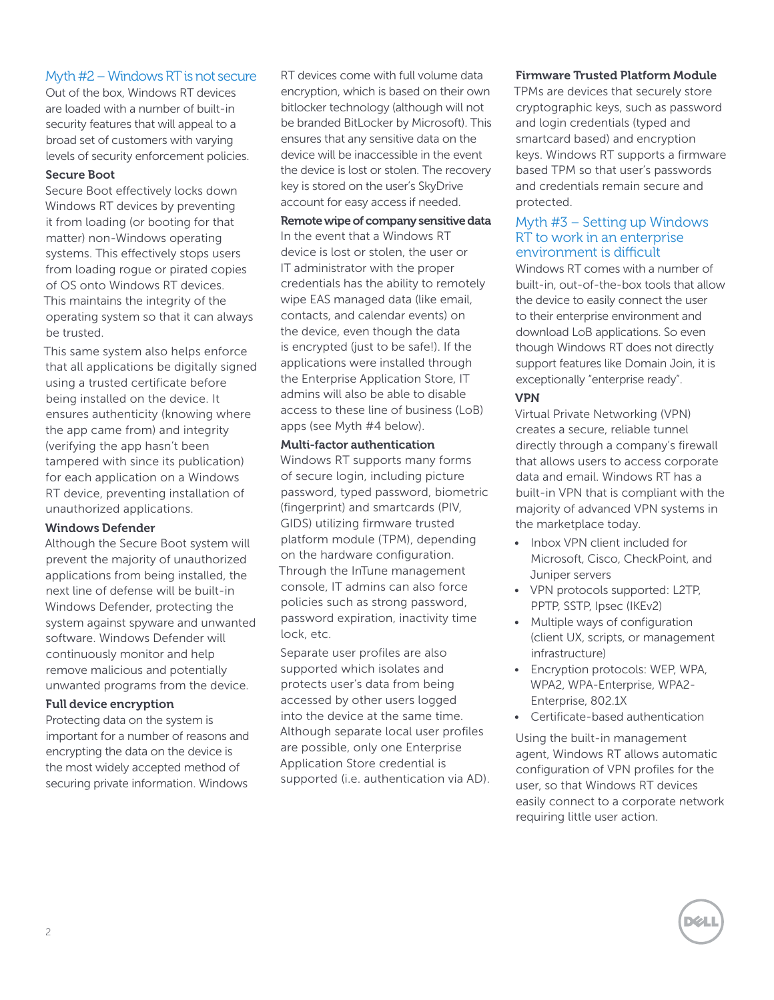# Myth #2 – Windows RT is not secure

Out of the box, Windows RT devices are loaded with a number of built-in security features that will appeal to a broad set of customers with varying levels of security enforcement policies.

### Secure Boot

Secure Boot effectively locks down Windows RT devices by preventing it from loading (or booting for that matter) non-Windows operating systems. This effectively stops users from loading rogue or pirated copies of OS onto Windows RT devices. This maintains the integrity of the operating system so that it can always be trusted.

This same system also helps enforce that all applications be digitally signed using a trusted certificate before being installed on the device. It ensures authenticity (knowing where the app came from) and integrity (verifying the app hasn't been tampered with since its publication) for each application on a Windows RT device, preventing installation of unauthorized applications.

## Windows Defender

Although the Secure Boot system will prevent the majority of unauthorized applications from being installed, the next line of defense will be built-in Windows Defender, protecting the system against spyware and unwanted software. Windows Defender will continuously monitor and help remove malicious and potentially unwanted programs from the device.

### Full device encryption

Protecting data on the system is important for a number of reasons and encrypting the data on the device is the most widely accepted method of securing private information. Windows

RT devices come with full volume data encryption, which is based on their own bitlocker technology (although will not be branded BitLocker by Microsoft). This ensures that any sensitive data on the device will be inaccessible in the event the device is lost or stolen. The recovery key is stored on the user's SkyDrive account for easy access if needed.

Remote wipe of company sensitive data In the event that a Windows RT device is lost or stolen, the user or IT administrator with the proper credentials has the ability to remotely wipe EAS managed data (like email, contacts, and calendar events) on the device, even though the data is encrypted (just to be safe!). If the applications were installed through the Enterprise Application Store, IT admins will also be able to disable access to these line of business (LoB) apps (see Myth #4 below).

## Multi-factor authentication

Windows RT supports many forms of secure login, including picture password, typed password, biometric (fingerprint) and smartcards (PIV, GIDS) utilizing firmware trusted platform module (TPM), depending on the hardware configuration. Through the InTune management console, IT admins can also force policies such as strong password, password expiration, inactivity time lock, etc.

Separate user profiles are also supported which isolates and protects user's data from being accessed by other users logged into the device at the same time. Although separate local user profiles are possible, only one Enterprise Application Store credential is supported (i.e. authentication via AD).

## Firmware Trusted Platform Module

TPMs are devices that securely store cryptographic keys, such as password and login credentials (typed and smartcard based) and encryption keys. Windows RT supports a firmware based TPM so that user's passwords and credentials remain secure and protected.

# Myth #3 – Setting up Windows RT to work in an enterprise environment is difficult

Windows RT comes with a number of built-in, out-of-the-box tools that allow the device to easily connect the user to their enterprise environment and download LoB applications. So even though Windows RT does not directly support features like Domain Join, it is exceptionally "enterprise ready".

## VPN

Virtual Private Networking (VPN) creates a secure, reliable tunnel directly through a company's firewall that allows users to access corporate data and email. Windows RT has a built-in VPN that is compliant with the majority of advanced VPN systems in the marketplace today.

- Inbox VPN client included for Microsoft, Cisco, CheckPoint, and Juniper servers
- • VPN protocols supported: L2TP, PPTP, SSTP, Ipsec (IKEv2)
- Multiple ways of configuration (client UX, scripts, or management infrastructure)
- Encryption protocols: WEP, WPA, WPA2, WPA-Enterprise, WPA2- Enterprise, 802.1X
- • Certificate-based authentication

Using the built-in management agent, Windows RT allows automatic configuration of VPN profiles for the user, so that Windows RT devices easily connect to a corporate network requiring little user action.

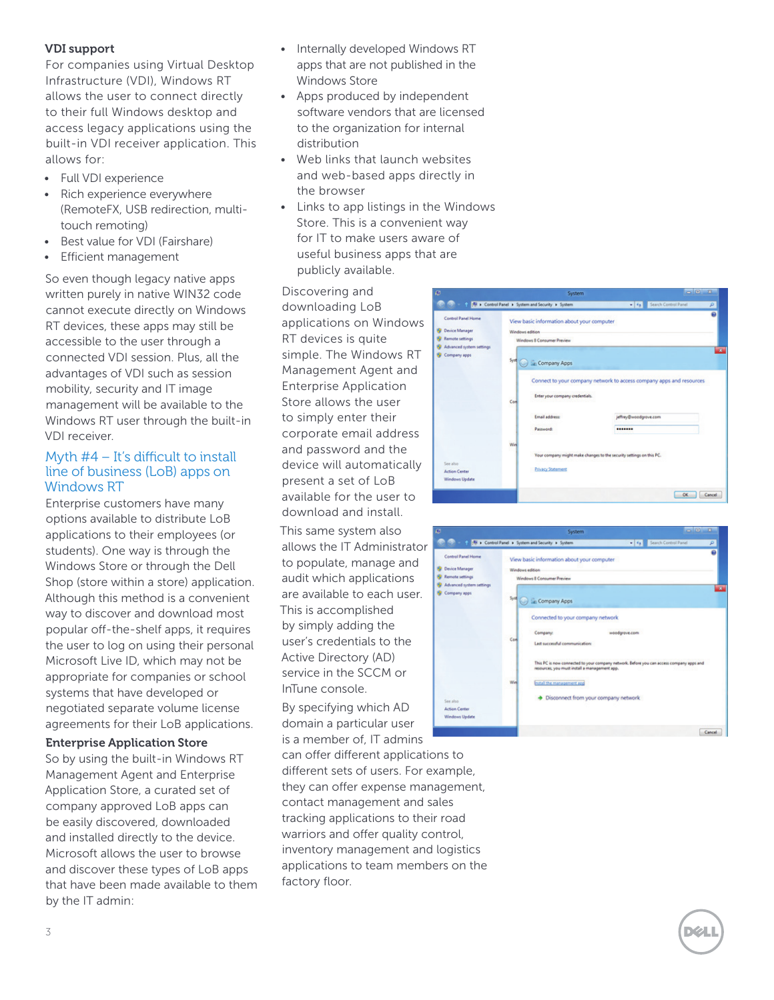## VDI support

For companies using Virtual Desktop Infrastructure (VDI), Windows RT allows the user to connect directly to their full Windows desktop and access legacy applications using the built-in VDI receiver application. This allows for:

- • Full VDI experience
- • Rich experience everywhere (RemoteFX, USB redirection, multitouch remoting)
- Best value for VDI (Fairshare)
- • Efficient management

So even though legacy native apps written purely in native WIN32 code cannot execute directly on Windows RT devices, these apps may still be accessible to the user through a connected VDI session. Plus, all the advantages of VDI such as session mobility, security and IT image management will be available to the Windows RT user through the built-in VDI receiver.

## Myth #4 – It's difficult to install line of business (LoB) apps on Windows RT

Enterprise customers have many options available to distribute LoB applications to their employees (or students). One way is through the Windows Store or through the Dell Shop (store within a store) application. Although this method is a convenient way to discover and download most popular off-the-shelf apps, it requires the user to log on using their personal Microsoft Live ID, which may not be appropriate for companies or school systems that have developed or negotiated separate volume license agreements for their LoB applications.

#### Enterprise Application Store

So by using the built-in Windows RT Management Agent and Enterprise Application Store, a curated set of company approved LoB apps can be easily discovered, downloaded and installed directly to the device. Microsoft allows the user to browse and discover these types of LoB apps that have been made available to them by the IT admin:

- Internally developed Windows RT apps that are not published in the Windows Store
- Apps produced by independent software vendors that are licensed to the organization for internal distribution
- Web links that launch websites and web-based apps directly in the browser
- • Links to app listings in the Windows Store. This is a convenient way for IT to make users aware of useful business apps that are publicly available.

Discovering and downloading LoB applications on Windows RT devices is quite simple. The Windows RT Management Agent and Enterprise Application Store allows the user to simply enter their corporate email address and password and the device will automatically present a set of LoB available for the user to download and install.

This same system also allows the IT Administrator to populate, manage and audit which applications are available to each user. This is accomplished by simply adding the user's credentials to the Active Directory (AD) service in the SCCM or InTune console.

By specifying which AD domain a particular user is a member of, IT admins

can offer different applications to different sets of users. For example, they can offer expense management, contact management and sales tracking applications to their road warriors and offer quality control, inventory management and logistics applications to team members on the factory floor.



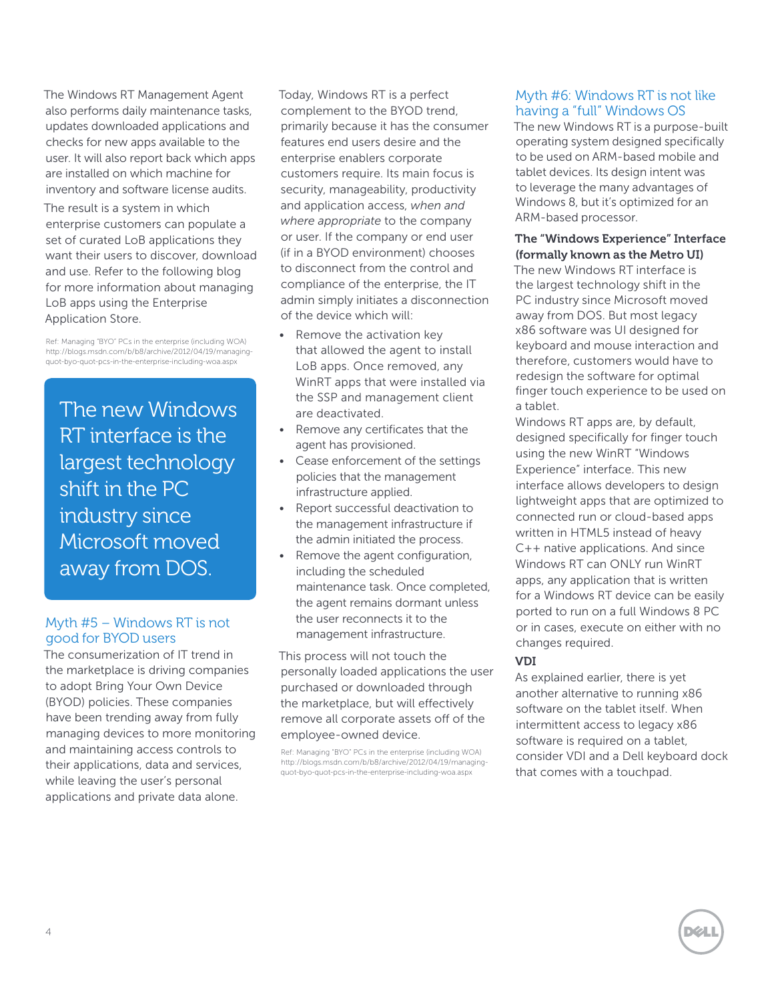The Windows RT Management Agent also performs daily maintenance tasks, updates downloaded applications and checks for new apps available to the user. It will also report back which apps are installed on which machine for inventory and software license audits. The result is a system in which enterprise customers can populate a set of curated LoB applications they want their users to discover, download and use. Refer to the following blog for more information about managing LoB apps using the Enterprise Application Store.

Ref: Managing "BYO" PCs in the enterprise (including WOA) http://blogs.msdn.com/b/b8/archive/2012/04/19/managingquot-byo-quot-pcs-in-the-enterprise-including-woa.aspx

The new Windows RT interface is the largest technology shift in the PC industry since Microsoft moved away from DOS.

## Myth #5 – Windows RT is not good for BYOD users

The consumerization of IT trend in the marketplace is driving companies to adopt Bring Your Own Device (BYOD) policies. These companies have been trending away from fully managing devices to more monitoring and maintaining access controls to their applications, data and services, while leaving the user's personal applications and private data alone.

Today, Windows RT is a perfect complement to the BYOD trend, primarily because it has the consumer features end users desire and the enterprise enablers corporate customers require. Its main focus is security, manageability, productivity and application access, *when and where appropriate* to the company or user. If the company or end user (if in a BYOD environment) chooses to disconnect from the control and compliance of the enterprise, the IT admin simply initiates a disconnection of the device which will:

- Remove the activation key that allowed the agent to install LoB apps. Once removed, any WinRT apps that were installed via the SSP and management client are deactivated.
- Remove any certificates that the agent has provisioned.
- Cease enforcement of the settings policies that the management infrastructure applied.
- Report successful deactivation to the management infrastructure if the admin initiated the process.
- Remove the agent configuration, including the scheduled maintenance task. Once completed, the agent remains dormant unless the user reconnects it to the management infrastructure.

This process will not touch the personally loaded applications the user purchased or downloaded through the marketplace, but will effectively remove all corporate assets off of the employee-owned device.

Ref: Managing "BYO" PCs in the enterprise (including WOA) http://blogs.msdn.com/b/b8/archive/2012/04/19/managingquot-byo-quot-pcs-in-the-enterprise-including-woa.aspx

# Myth #6: Windows RT is not like having a "full" Windows OS

The new Windows RT is a purpose-built operating system designed specifically to be used on ARM-based mobile and tablet devices. Its design intent was to leverage the many advantages of Windows 8, but it's optimized for an ARM-based processor.

#### The "Windows Experience" Interface (formally known as the Metro UI)

The new Windows RT interface is the largest technology shift in the PC industry since Microsoft moved away from DOS. But most legacy x86 software was UI designed for keyboard and mouse interaction and therefore, customers would have to redesign the software for optimal finger touch experience to be used on a tablet.

Windows RT apps are, by default, designed specifically for finger touch using the new WinRT "Windows Experience" interface. This new interface allows developers to design lightweight apps that are optimized to connected run or cloud-based apps written in HTML5 instead of heavy C++ native applications. And since Windows RT can ONLY run WinRT apps, any application that is written for a Windows RT device can be easily ported to run on a full Windows 8 PC or in cases, execute on either with no changes required.

#### VDI

As explained earlier, there is yet another alternative to running x86 software on the tablet itself. When intermittent access to legacy x86 software is required on a tablet, consider VDI and a Dell keyboard dock that comes with a touchpad.

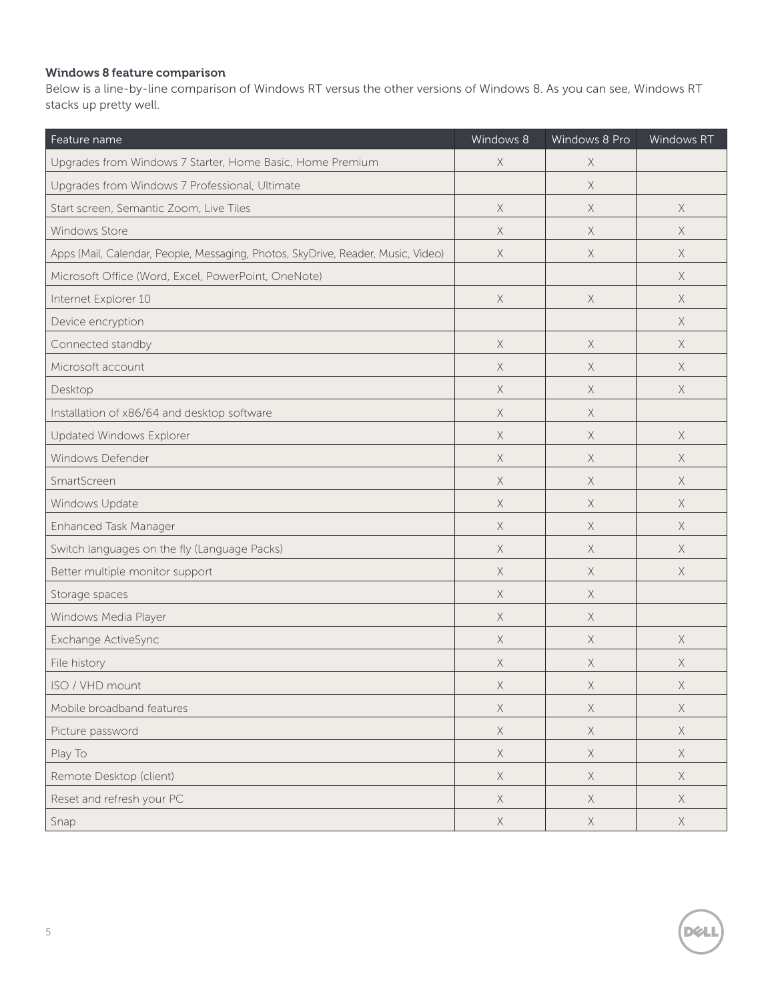# Windows 8 feature comparison

Below is a line-by-line comparison of Windows RT versus the other versions of Windows 8. As you can see, Windows RT stacks up pretty well.

| Feature name                                                                     | Windows 8   | Windows 8 Pro | <b>Windows RT</b> |
|----------------------------------------------------------------------------------|-------------|---------------|-------------------|
| Upgrades from Windows 7 Starter, Home Basic, Home Premium                        | X           | $\times$      |                   |
| Upgrades from Windows 7 Professional, Ultimate                                   |             | X             |                   |
| Start screen, Semantic Zoom, Live Tiles                                          | $\times$    | X             | $\times$          |
| Windows Store                                                                    | X           | X             | X                 |
| Apps (Mail, Calendar, People, Messaging, Photos, SkyDrive, Reader, Music, Video) | X           | X             | $\times$          |
| Microsoft Office (Word, Excel, PowerPoint, OneNote)                              |             |               | $\times$          |
| Internet Explorer 10                                                             | $\times$    | $\times$      | $\times$          |
| Device encryption                                                                |             |               | $\times$          |
| Connected standby                                                                | $\times$    | X             | $\times$          |
| Microsoft account                                                                | X           | X             | $\times$          |
| Desktop                                                                          | X           | X             | $\times$          |
| Installation of x86/64 and desktop software                                      | X           | X             |                   |
| Updated Windows Explorer                                                         | X           | X             | $\times$          |
| Windows Defender                                                                 | X           | X             | $\times$          |
| SmartScreen                                                                      | X           | X             | $\times$          |
| Windows Update                                                                   | X           | X             | $\times$          |
| Enhanced Task Manager                                                            | X           | X             | $\times$          |
| Switch languages on the fly (Language Packs)                                     | X           | X             | $\times$          |
| Better multiple monitor support                                                  | X           | X             | $\times$          |
| Storage spaces                                                                   | X           | X             |                   |
| Windows Media Player                                                             | X           | X             |                   |
| Exchange ActiveSync                                                              | X           | X             | $\times$          |
| File history                                                                     | X           | X             | X                 |
| ISO / VHD mount                                                                  | X           | X             | $\times$          |
| Mobile broadband features                                                        | $\mathsf X$ | $\times$      | $\times$          |
| Picture password                                                                 | $\mathsf X$ | $\mathsf X$   | $\times$          |
| Play To                                                                          | $\mathsf X$ | $\mathsf X$   | X                 |
| Remote Desktop (client)                                                          | $\mathsf X$ | $\mathsf X$   | $\times$          |
| Reset and refresh your PC                                                        | $\mathsf X$ | $\mathsf X$   | $\times$          |
| Snap                                                                             | $\mathsf X$ | $\mathsf X$   | $\mathsf X$       |